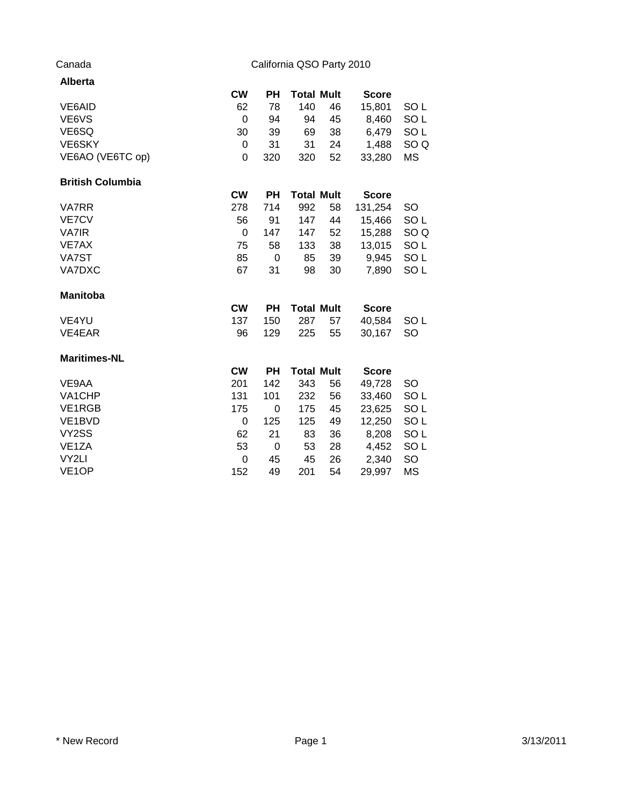# Canada California QSO Party 2010

| <b>Alberta</b>          |           |           |                   |    |              |                 |
|-------------------------|-----------|-----------|-------------------|----|--------------|-----------------|
|                         | <b>CW</b> | PН        | <b>Total Mult</b> |    | <b>Score</b> |                 |
| VE6AID                  | 62        | 78        | 140               | 46 | 15,801       | SO L            |
| VE6VS                   | 0         | 94        | 94                | 45 | 8,460        | SO <sub>L</sub> |
| VE6SQ                   | 30        | 39        | 69                | 38 | 6,479        | SO <sub>L</sub> |
| VE6SKY                  | 0         | 31        | 31                | 24 | 1,488        | SO <sub>Q</sub> |
| VE6AO (VE6TC op)        | 0         | 320       | 320               | 52 | 33,280       | <b>MS</b>       |
| <b>British Columbia</b> |           |           |                   |    |              |                 |
|                         | <b>CW</b> | <b>PH</b> | <b>Total Mult</b> |    | <b>Score</b> |                 |
| <b>VA7RR</b>            | 278       | 714       | 992               | 58 | 131,254      | SO              |
| <b>VE7CV</b>            | 56        | 91        | 147               | 44 | 15,466       | SO <sub>L</sub> |
| <b>VA7IR</b>            | 0         | 147       | 147               | 52 | 15,288       | SO <sub>Q</sub> |
| VE7AX                   | 75        | 58        | 133               | 38 | 13,015       | SO <sub>L</sub> |
| VA7ST                   | 85        | 0         | 85                | 39 | 9,945        | SO <sub>L</sub> |
| <b>VA7DXC</b>           | 67        | 31        | 98                | 30 | 7,890        | SO <sub>L</sub> |
| <b>Manitoba</b>         |           |           |                   |    |              |                 |
|                         | <b>CW</b> | <b>PH</b> | <b>Total Mult</b> |    | <b>Score</b> |                 |
| VE4YU                   | 137       | 150       | 287               | 57 | 40,584       | SO <sub>L</sub> |
| VE4EAR                  | 96        | 129       | 225               | 55 | 30,167       | <b>SO</b>       |
| <b>Maritimes-NL</b>     |           |           |                   |    |              |                 |
|                         | <b>CW</b> | <b>PH</b> | <b>Total Mult</b> |    | <b>Score</b> |                 |
| VE9AA                   | 201       | 142       | 343               | 56 | 49,728       | SO              |
| VA1CHP                  | 131       | 101       | 232               | 56 | 33,460       | SO <sub>L</sub> |
| VE1RGB                  | 175       | 0         | 175               | 45 | 23,625       | SO <sub>L</sub> |
| VE1BVD                  | 0         | 125       | 125               | 49 | 12,250       | SO <sub>L</sub> |
| VY <sub>2</sub> SS      | 62        | 21        | 83                | 36 | 8,208        | SO <sub>L</sub> |
| VE <sub>1</sub> ZA      | 53        | 0         | 53                | 28 | 4,452        | SO <sub>L</sub> |
| VY2LI                   | 0         | 45        | 45                | 26 | 2,340        | SO              |
| VE <sub>1</sub> OP      | 152       | 49        | 201               | 54 | 29,997       | <b>MS</b>       |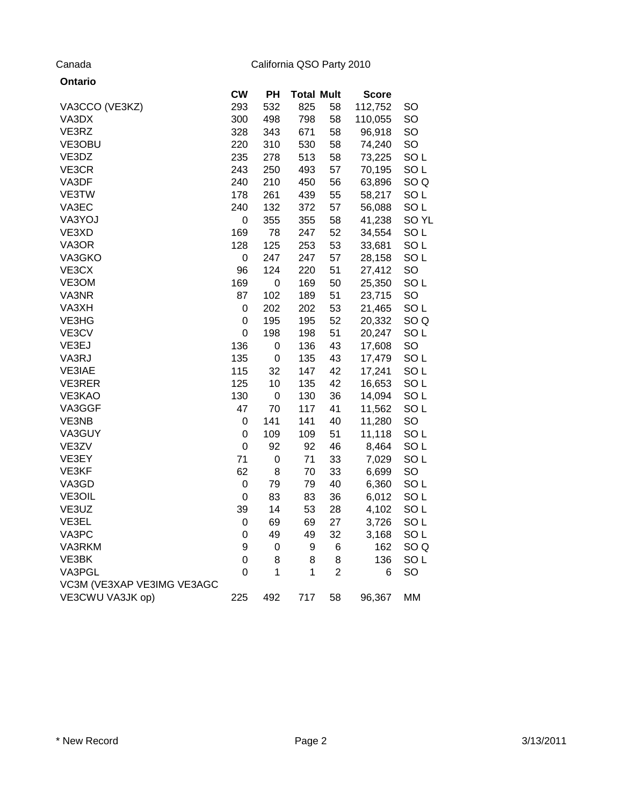# Canada California QSO Party 2010

| Ontario                    |                |                  |                   |                |              |                 |
|----------------------------|----------------|------------------|-------------------|----------------|--------------|-----------------|
|                            | <b>CW</b>      | PH               | <b>Total Mult</b> |                | <b>Score</b> |                 |
| VA3CCO (VE3KZ)             | 293            | 532              | 825               | 58             | 112,752      | SO              |
| VA3DX                      | 300            | 498              | 798               | 58             | 110,055      | SO              |
| VE3RZ                      | 328            | 343              | 671               | 58             | 96,918       | SO              |
| VE3OBU                     | 220            | 310              | 530               | 58             | 74,240       | SO              |
| VE3DZ                      | 235            | 278              | 513               | 58             | 73,225       | SO <sub>L</sub> |
| VE3CR                      | 243            | 250              | 493               | 57             | 70,195       | SO <sub>L</sub> |
| VA3DF                      | 240            | 210              | 450               | 56             | 63,896       | SO <sub>Q</sub> |
| VE3TW                      | 178            | 261              | 439               | 55             | 58,217       | SO <sub>L</sub> |
| VA3EC                      | 240            | 132              | 372               | 57             | 56,088       | SO <sub>L</sub> |
| VA3YOJ                     | 0              | 355              | 355               | 58             | 41,238       | SO YL           |
| VE3XD                      | 169            | 78               | 247               | 52             | 34,554       | SO <sub>L</sub> |
| VA3OR                      | 128            | 125              | 253               | 53             | 33,681       | SO <sub>L</sub> |
| VA3GKO                     | 0              | 247              | 247               | 57             | 28,158       | SO <sub>L</sub> |
| VE3CX                      | 96             | 124              | 220               | 51             | 27,412       | SO              |
| VE3OM                      | 169            | 0                | 169               | 50             | 25,350       | SO <sub>L</sub> |
| VA3NR                      | 87             | 102              | 189               | 51             | 23,715       | SO              |
| VA3XH                      | 0              | 202              | 202               | 53             | 21,465       | SO <sub>L</sub> |
| VE3HG                      | 0              | 195              | 195               | 52             | 20,332       | SO <sub>Q</sub> |
| VE3CV                      | $\mathbf 0$    | 198              | 198               | 51             | 20,247       | SO <sub>L</sub> |
| VE3EJ                      | 136            | 0                | 136               | 43             | 17,608       | SO              |
| VA3RJ                      | 135            | $\mathbf 0$      | 135               | 43             | 17,479       | SO <sub>L</sub> |
| VE3IAE                     | 115            | 32               | 147               | 42             | 17,241       | SO <sub>L</sub> |
| VE3RER                     | 125            | 10               | 135               | 42             | 16,653       | SO <sub>L</sub> |
| VE3KAO                     | 130            | $\mathbf 0$      | 130               | 36             | 14,094       | SO <sub>L</sub> |
| VA3GGF                     | 47             | 70               | 117               | 41             | 11,562       | SO <sub>L</sub> |
| VE3NB                      | 0              | 141              | 141               | 40             | 11,280       | SO              |
| VA3GUY                     | 0              | 109              | 109               | 51             | 11,118       | SO <sub>L</sub> |
| VE3ZV                      | $\mathbf 0$    | 92               | 92                | 46             | 8,464        | SO <sub>L</sub> |
| VE3EY                      | 71             | $\mathbf 0$      | 71                | 33             | 7,029        | SO <sub>L</sub> |
| VE3KF                      | 62             | 8                | 70                | 33             | 6,699        | <b>SO</b>       |
| VA3GD                      | $\mathsf 0$    | 79               | 79                | 40             | 6,360        | SO <sub>L</sub> |
| VE3OIL                     | $\mathbf 0$    | 83               | 83                | 36             | 6,012        | SO <sub>L</sub> |
| VE3UZ                      | 39             | 14               | 53                | 28             | 4,102        | SO <sub>L</sub> |
| VE3EL                      | 0              | 69               | 69                | 27             | 3,726        | SO <sub>L</sub> |
| VA3PC                      | 0              | 49               | 49                | 32             | 3,168        | SO <sub>L</sub> |
| VA3RKM                     | 9              | $\boldsymbol{0}$ | 9                 | 6              | 162          | SO <sub>Q</sub> |
| VE3BK                      | 0              | 8                | 8                 | 8              | 136          | SO <sub>L</sub> |
| VA3PGL                     | $\overline{0}$ | 1                | 1                 | $\overline{2}$ | 6            | SO              |
| VC3M (VE3XAP VE3IMG VE3AGC |                |                  |                   |                |              |                 |
| VE3CWU VA3JK op)           | 225            | 492              | 717               | 58             | 96,367       | MM              |